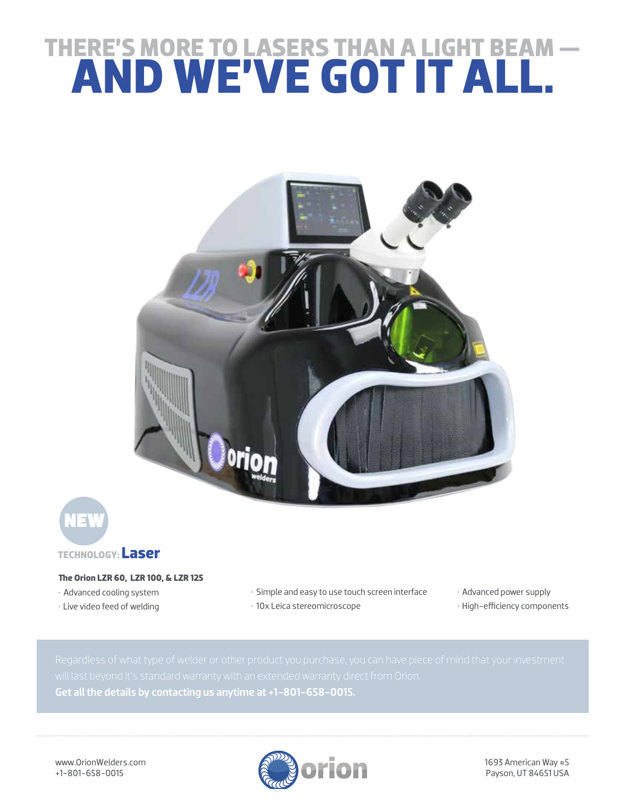## **THERE'S MORE TO LASERS THAN A LIGHT BEAM — AND WE'VE GOT IT ALL.**





## **The Orion LZR 60, LZR 100, & LZR 125**

- Advanced cooling system
- Live video feed of welding
- Simple and easy to use touch screen interface
- 10x Leica stereomicroscope

• Advanced power supply • High-efficiency components

Get all the details by contacting us anytime at +1-801-658-0015.

www.OrionWelders.com +1-801-658-0015



1693 American Way #5 Payson, UT 84651 USA